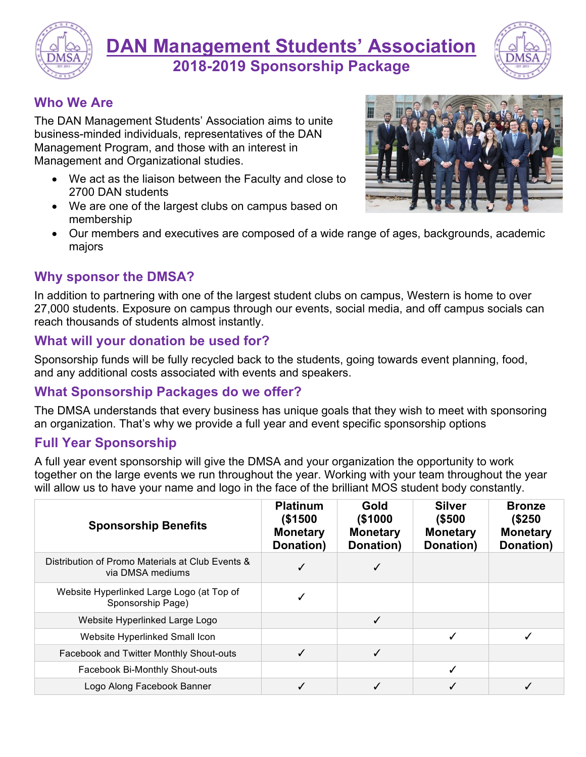

**DAN Management Students' Association 2018-2019 Sponsorship Package**



### **Who We Are**

The DAN Management Students' Association aims to unite business-minded individuals, representatives of the DAN Management Program, and those with an interest in Management and Organizational studies.

- We act as the liaison between the Faculty and close to 2700 DAN students
- We are one of the largest clubs on campus based on membership



• Our members and executives are composed of a wide range of ages, backgrounds, academic majors

#### **Why sponsor the DMSA?**

In addition to partnering with one of the largest student clubs on campus, Western is home to over 27,000 students. Exposure on campus through our events, social media, and off campus socials can reach thousands of students almost instantly.

#### **What will your donation be used for?**

Sponsorship funds will be fully recycled back to the students, going towards event planning, food, and any additional costs associated with events and speakers.

#### **What Sponsorship Packages do we offer?**

The DMSA understands that every business has unique goals that they wish to meet with sponsoring an organization. That's why we provide a full year and event specific sponsorship options

#### **Full Year Sponsorship**

A full year event sponsorship will give the DMSA and your organization the opportunity to work together on the large events we run throughout the year. Working with your team throughout the year will allow us to have your name and logo in the face of the brilliant MOS student body constantly.

| <b>Sponsorship Benefits</b>                                          | <b>Platinum</b><br>(\$1500<br><b>Monetary</b><br>Donation) | Gold<br>(\$1000<br><b>Monetary</b><br>Donation) | <b>Silver</b><br>(\$500<br><b>Monetary</b><br>Donation) | <b>Bronze</b><br>(\$250<br><b>Monetary</b><br>Donation) |
|----------------------------------------------------------------------|------------------------------------------------------------|-------------------------------------------------|---------------------------------------------------------|---------------------------------------------------------|
| Distribution of Promo Materials at Club Events &<br>via DMSA mediums |                                                            |                                                 |                                                         |                                                         |
| Website Hyperlinked Large Logo (at Top of<br>Sponsorship Page)       |                                                            |                                                 |                                                         |                                                         |
| Website Hyperlinked Large Logo                                       |                                                            | ✓                                               |                                                         |                                                         |
| Website Hyperlinked Small Icon                                       |                                                            |                                                 |                                                         |                                                         |
| Facebook and Twitter Monthly Shout-outs                              |                                                            | ✓                                               |                                                         |                                                         |
| Facebook Bi-Monthly Shout-outs                                       |                                                            |                                                 |                                                         |                                                         |
| Logo Along Facebook Banner                                           |                                                            |                                                 |                                                         |                                                         |